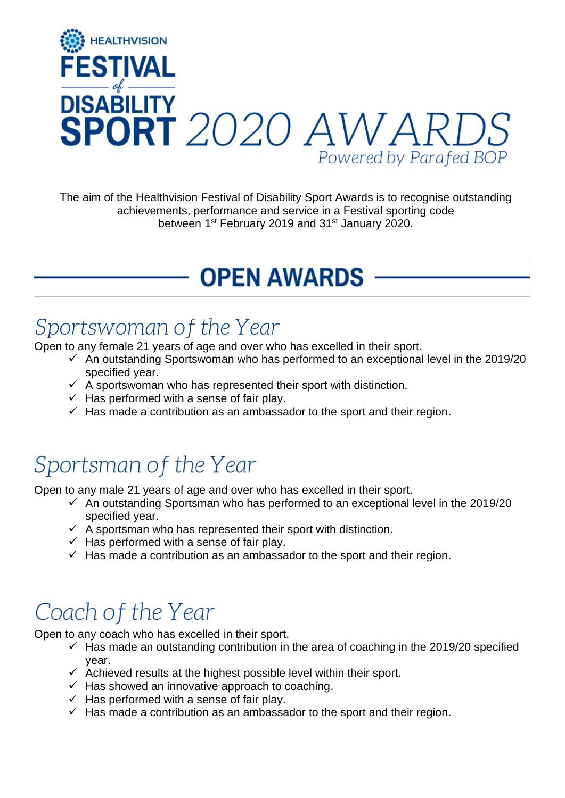

The aim of the Healthvision Festival of Disability Sport Awards is to recognise outstanding achievements, performance and service in a Festival sporting code between 1<sup>st</sup> February 2019 and 31<sup>st</sup> January 2020.

## **OPEN AWARDS**

### Sportswoman of the Year

Open to any female 21 years of age and over who has excelled in their sport.

- $\checkmark$  An outstanding Sportswoman who has performed to an exceptional level in the 2019/20 specified year.
- $\checkmark$  A sportswoman who has represented their sport with distinction.
- $\checkmark$  Has performed with a sense of fair play.
- $\checkmark$  Has made a contribution as an ambassador to the sport and their region.

### Sportsman of the Year

Open to any male 21 years of age and over who has excelled in their sport.

- $\checkmark$  An outstanding Sportsman who has performed to an exceptional level in the 2019/20 specified year.
- $\checkmark$  A sportsman who has represented their sport with distinction.
- $\checkmark$  Has performed with a sense of fair play.
- $\checkmark$  Has made a contribution as an ambassador to the sport and their region.

### Coach of the Year

Open to any coach who has excelled in their sport.

- $\checkmark$  Has made an outstanding contribution in the area of coaching in the 2019/20 specified year.
- $\checkmark$  Achieved results at the highest possible level within their sport.
- $\checkmark$  Has showed an innovative approach to coaching.
- $\checkmark$  Has performed with a sense of fair play.
- $\checkmark$  Has made a contribution as an ambassador to the sport and their region.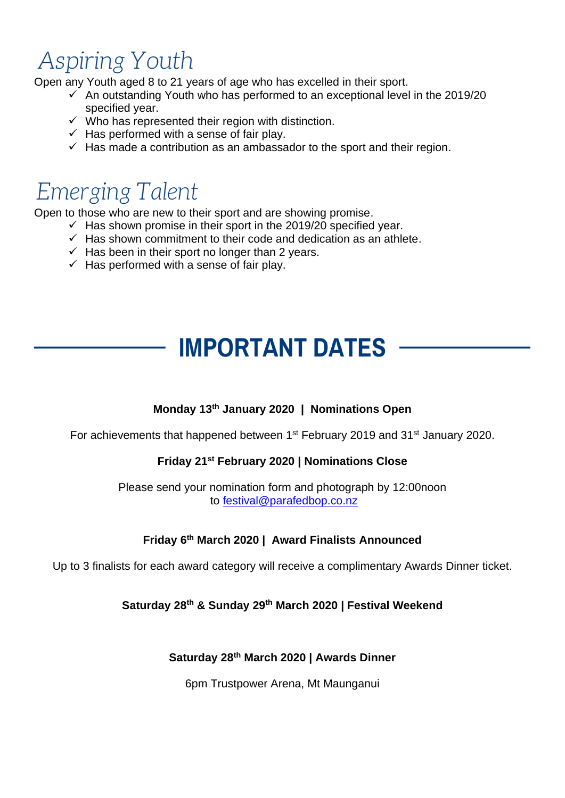## **Aspiring Youth**

Open any Youth aged 8 to 21 years of age who has excelled in their sport.

- $\checkmark$  An outstanding Youth who has performed to an exceptional level in the 2019/20 specified year.
- $\checkmark$  Who has represented their region with distinction.
- $\checkmark$  Has performed with a sense of fair play.
- $\checkmark$  Has made a contribution as an ambassador to the sport and their region.

### **Emerging Talent**

Open to those who are new to their sport and are showing promise.

- $\checkmark$  Has shown promise in their sport in the 2019/20 specified year.
	- $\checkmark$  Has shown commitment to their code and dedication as an athlete.
	- $\checkmark$  Has been in their sport no longer than 2 years.
	- $\checkmark$  Has performed with a sense of fair play.

### **IMPORTANT DATES**

#### **Monday 13th January 2020 | Nominations Open**

For achievements that happened between 1<sup>st</sup> February 2019 and 31<sup>st</sup> January 2020.

#### **Friday 21st February 2020 | Nominations Close**

Please send your nomination form and photograph by 12:00noon to [festival@parafedbop.co.nz](mailto:festival@parafedbop.co.nz)

#### **Friday 6th March 2020 | Award Finalists Announced**

Up to 3 finalists for each award category will receive a complimentary Awards Dinner ticket.

#### **Saturday 28th & Sunday 29th March 2020 | Festival Weekend**

#### **Saturday 28th March 2020 | Awards Dinner**

6pm Trustpower Arena, Mt Maunganui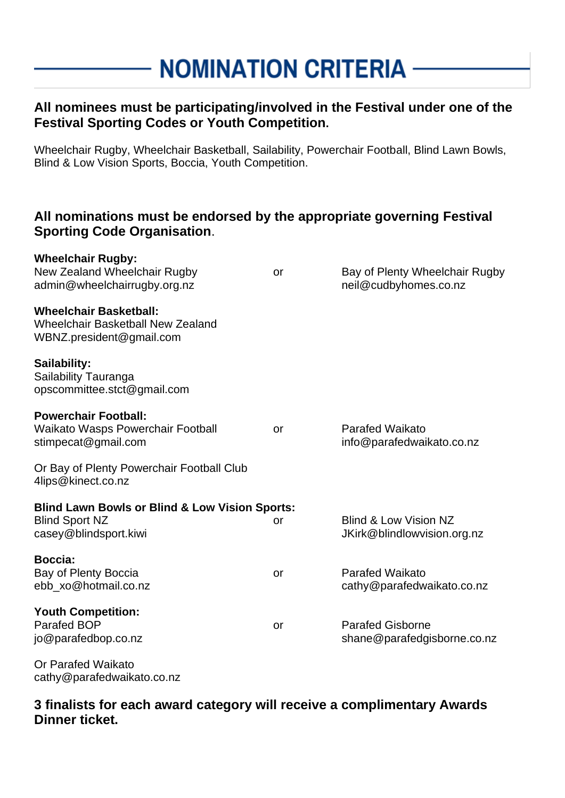### **NOMINATION CRITERIA -**

#### **All nominees must be participating/involved in the Festival under one of the Festival Sporting Codes or Youth Competition.**

Wheelchair Rugby, Wheelchair Basketball, Sailability, Powerchair Football, Blind Lawn Bowls, Blind & Low Vision Sports, Boccia, Youth Competition.

#### **All nominations must be endorsed by the appropriate governing Festival Sporting Code Organisation**.

| <b>WILCEILIAII RUYUY.</b><br>New Zealand Wheelchair Rugby<br>admin@wheelchairrugby.org.nz                   | or        | Bay of Plenty Wheelchair Rugby<br>neil@cudbyhomes.co.nz         |
|-------------------------------------------------------------------------------------------------------------|-----------|-----------------------------------------------------------------|
| <b>Wheelchair Basketball:</b><br><b>Wheelchair Basketball New Zealand</b><br>WBNZ.president@gmail.com       |           |                                                                 |
| Sailability:<br>Sailability Tauranga<br>opscommittee.stct@gmail.com                                         |           |                                                                 |
| <b>Powerchair Football:</b><br>Waikato Wasps Powerchair Football<br>stimpecat@gmail.com                     | <b>or</b> | Parafed Waikato<br>info@parafedwaikato.co.nz                    |
| Or Bay of Plenty Powerchair Football Club<br>4lips@kinect.co.nz                                             |           |                                                                 |
| <b>Blind Lawn Bowls or Blind &amp; Low Vision Sports:</b><br><b>Blind Sport NZ</b><br>casey@blindsport.kiwi | or        | <b>Blind &amp; Low Vision NZ</b><br>JKirk@blindlowvision.org.nz |
| Boccia:<br>Bay of Plenty Boccia<br>ebb_xo@hotmail.co.nz                                                     | or        | <b>Parafed Waikato</b><br>cathy@parafedwaikato.co.nz            |
| <b>Youth Competition:</b><br><b>Parafed BOP</b><br>jo@parafedbop.co.nz                                      | or        | <b>Parafed Gisborne</b><br>shane@parafedgisborne.co.nz          |
| Or Parafed Waikato                                                                                          |           |                                                                 |

cathy@parafedwaikato.co.nz

**Wheelchair Rugby:** 

**3 finalists for each award category will receive a complimentary Awards Dinner ticket.**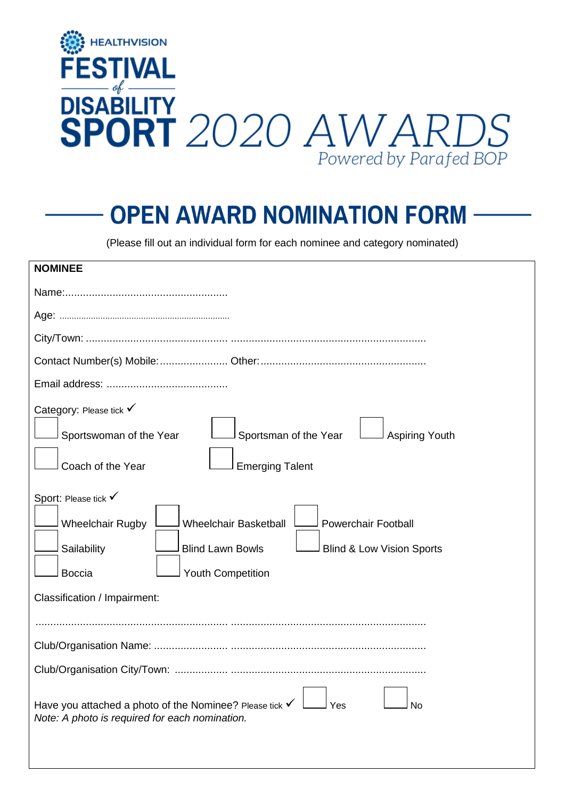

### **OPEN AWARD NOMINATION FORM**

(Please fill out an individual form for each nominee and category nominated)

| <b>NOMINEE</b>                                                                                                                                                                                                                               |
|----------------------------------------------------------------------------------------------------------------------------------------------------------------------------------------------------------------------------------------------|
|                                                                                                                                                                                                                                              |
|                                                                                                                                                                                                                                              |
|                                                                                                                                                                                                                                              |
|                                                                                                                                                                                                                                              |
|                                                                                                                                                                                                                                              |
| Category: Please tick V<br>Sportswoman of the Year<br>Sportsman of the Year<br><b>Aspiring Youth</b><br>Coach of the Year<br><b>Emerging Talent</b>                                                                                          |
| Sport: Please tick V<br><b>Wheelchair Basketball</b><br><b>Powerchair Football</b><br><b>Wheelchair Rugby</b><br><b>Blind Lawn Bowls</b><br>Sailability<br><b>Blind &amp; Low Vision Sports</b><br><b>Boccia</b><br><b>Youth Competition</b> |
| Classification / Impairment:                                                                                                                                                                                                                 |
|                                                                                                                                                                                                                                              |
|                                                                                                                                                                                                                                              |
|                                                                                                                                                                                                                                              |
| Have you attached a photo of the Nominee? Please tick $\checkmark$<br>Yes<br>No<br>Note: A photo is required for each nomination.                                                                                                            |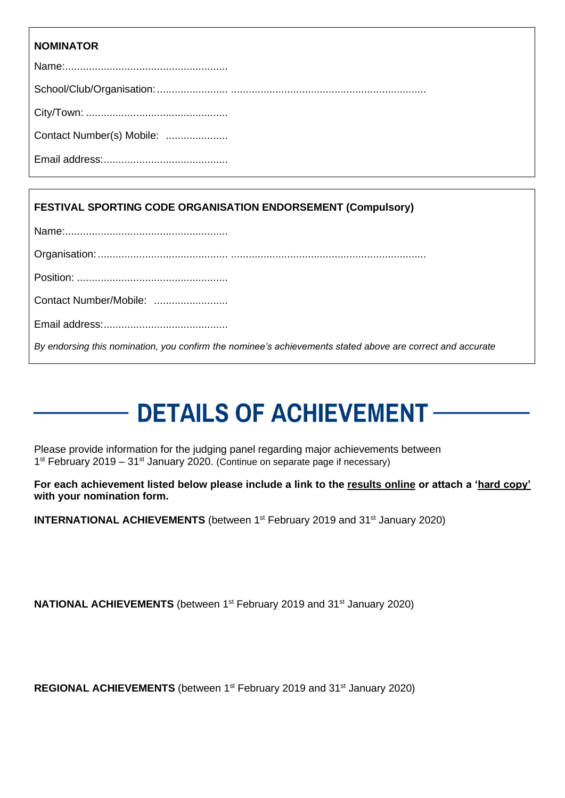#### **NOMINATOR**

| Contact Number(s) Mobile: |
|---------------------------|
|                           |

#### **FESTIVAL SPORTING CODE ORGANISATION ENDORSEMENT (Compulsory)**

|--|--|

Position: ...................................................

Email address:..........................................

*By endorsing this nomination, you confirm the nominee's achievements stated above are correct and accurate*

# **DETAILS OF ACHIEVEMENT.**

Please provide information for the judging panel regarding major achievements between 1<sup>st</sup> February 2019 – 31<sup>st</sup> January 2020. (Continue on separate page if necessary)

**For each achievement listed below please include a link to the results online or attach a 'hard copy' with your nomination form.** 

**INTERNATIONAL ACHIEVEMENTS** (between 1<sup>st</sup> February 2019 and 31<sup>st</sup> January 2020)

**NATIONAL ACHIEVEMENTS** (between 1<sup>st</sup> February 2019 and 31<sup>st</sup> January 2020)

**REGIONAL ACHIEVEMENTS** (between 1<sup>st</sup> February 2019 and 31<sup>st</sup> January 2020)